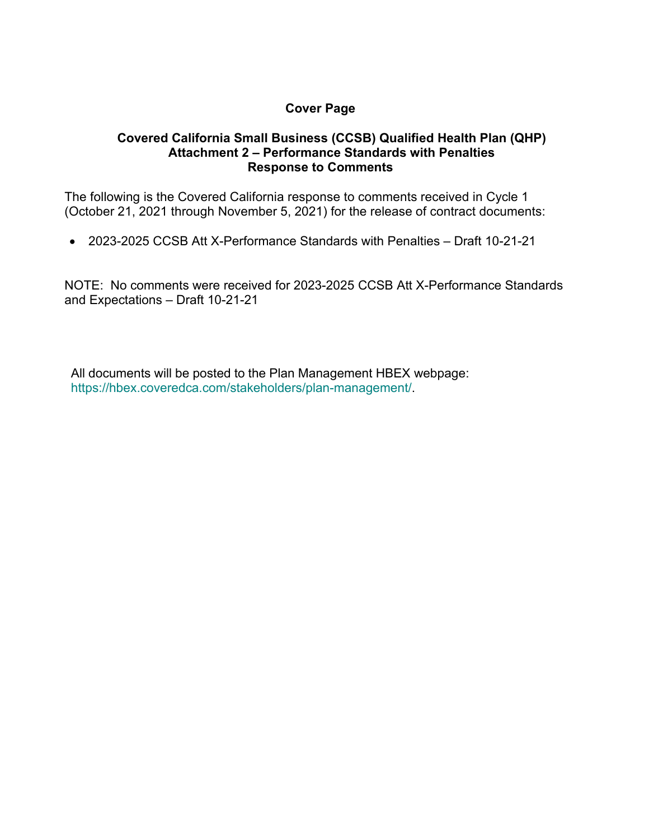## **Cover Page**

## **Covered California Small Business (CCSB) Qualified Health Plan (QHP) Attachment 2 – Performance Standards with Penalties Response to Comments**

The following is the Covered California response to comments received in Cycle 1 (October 21, 2021 through November 5, 2021) for the release of contract documents:

• 2023-2025 CCSB Att X-Performance Standards with Penalties – Draft 10-21-21

NOTE: No comments were received for 2023-2025 CCSB Att X-Performance Standards and Expectations – Draft 10-21-21

All documents will be posted to the Plan Management HBEX webpage: https://hbex.coveredca.com/stakeholders/plan-management/.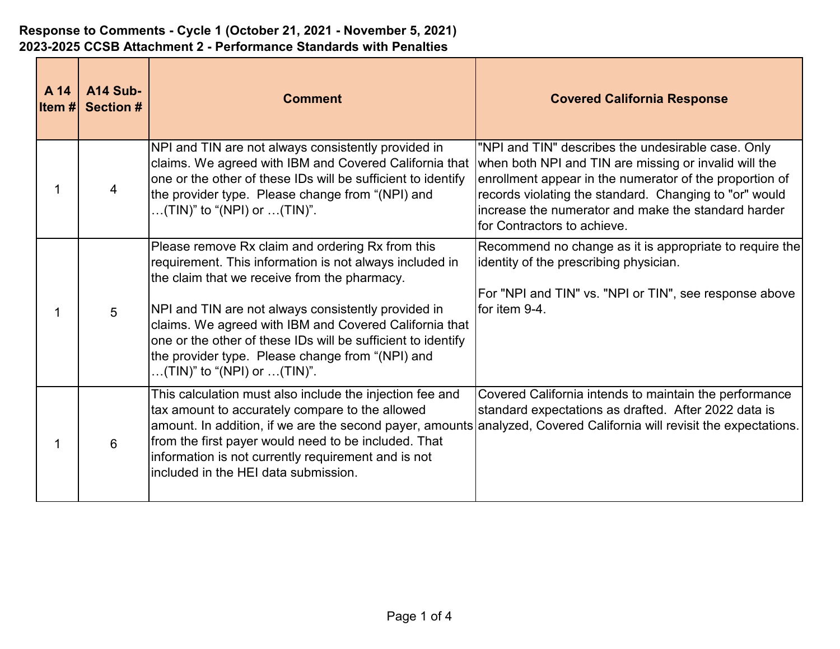| A 14<br><b>Item#</b> | A14 Sub-<br><b>Section #</b> | <b>Comment</b>                                                                                                                                                                                                                                                                                                                                                                                                                  | <b>Covered California Response</b>                                                                                                                                                                                                                                                                                     |
|----------------------|------------------------------|---------------------------------------------------------------------------------------------------------------------------------------------------------------------------------------------------------------------------------------------------------------------------------------------------------------------------------------------------------------------------------------------------------------------------------|------------------------------------------------------------------------------------------------------------------------------------------------------------------------------------------------------------------------------------------------------------------------------------------------------------------------|
|                      |                              | NPI and TIN are not always consistently provided in<br>claims. We agreed with IBM and Covered California that<br>one or the other of these IDs will be sufficient to identify<br>the provider type. Please change from "(NPI) and<br>(TIN)" to "(NPI) or (TIN)".                                                                                                                                                                | "NPI and TIN" describes the undesirable case. Only<br>when both NPI and TIN are missing or invalid will the<br>enrollment appear in the numerator of the proportion of<br>records violating the standard. Changing to "or" would<br>increase the numerator and make the standard harder<br>for Contractors to achieve. |
|                      | 5                            | Please remove Rx claim and ordering Rx from this<br>requirement. This information is not always included in<br>the claim that we receive from the pharmacy.<br>NPI and TIN are not always consistently provided in<br>claims. We agreed with IBM and Covered California that<br>one or the other of these IDs will be sufficient to identify<br>the provider type. Please change from "(NPI) and<br>(TIN)" to "(NPI) or (TIN)". | $ \mathsf{Recommend}$ no change as it is appropriate to require the $ \mathsf{Re}\rangle$<br>identity of the prescribing physician.<br>For "NPI and TIN" vs. "NPI or TIN", see response above<br>for item 9-4.                                                                                                         |
|                      | 6                            | This calculation must also include the injection fee and<br>tax amount to accurately compare to the allowed<br>from the first payer would need to be included. That<br>information is not currently requirement and is not<br>lincluded in the HEI data submission.                                                                                                                                                             | Covered California intends to maintain the performance<br>standard expectations as drafted. After 2022 data is<br>amount. In addition, if we are the second payer, amounts analyzed, Covered California will revisit the expectations.                                                                                 |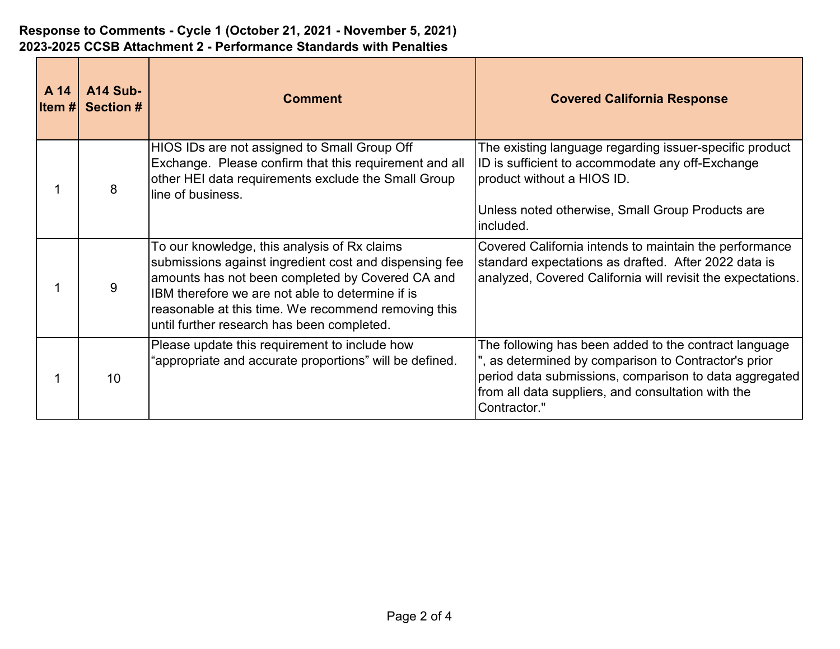| A 14<br>litem #l | A14 Sub-<br><b>Section #</b> | <b>Comment</b>                                                                                                                                                                                                                                                                                                      | <b>Covered California Response</b>                                                                                                                                                                                                            |
|------------------|------------------------------|---------------------------------------------------------------------------------------------------------------------------------------------------------------------------------------------------------------------------------------------------------------------------------------------------------------------|-----------------------------------------------------------------------------------------------------------------------------------------------------------------------------------------------------------------------------------------------|
|                  | 8                            | HIOS IDs are not assigned to Small Group Off<br>Exchange. Please confirm that this requirement and all<br>other HEI data requirements exclude the Small Group<br>line of business.                                                                                                                                  | The existing language regarding issuer-specific product<br>ID is sufficient to accommodate any off-Exchange<br>product without a HIOS ID.<br>Unless noted otherwise, Small Group Products are                                                 |
|                  |                              |                                                                                                                                                                                                                                                                                                                     | lincluded.                                                                                                                                                                                                                                    |
|                  | 9                            | To our knowledge, this analysis of Rx claims<br>submissions against ingredient cost and dispensing fee<br>amounts has not been completed by Covered CA and<br>IBM therefore we are not able to determine if is<br>reasonable at this time. We recommend removing this<br>until further research has been completed. | Covered California intends to maintain the performance<br>standard expectations as drafted. After 2022 data is<br>analyzed, Covered California will revisit the expectations.                                                                 |
|                  | 10                           | Please update this requirement to include how<br>"appropriate and accurate proportions" will be defined.                                                                                                                                                                                                            | The following has been added to the contract language<br>", as determined by comparison to Contractor's prior<br>period data submissions, comparison to data aggregated<br>from all data suppliers, and consultation with the<br>Contractor." |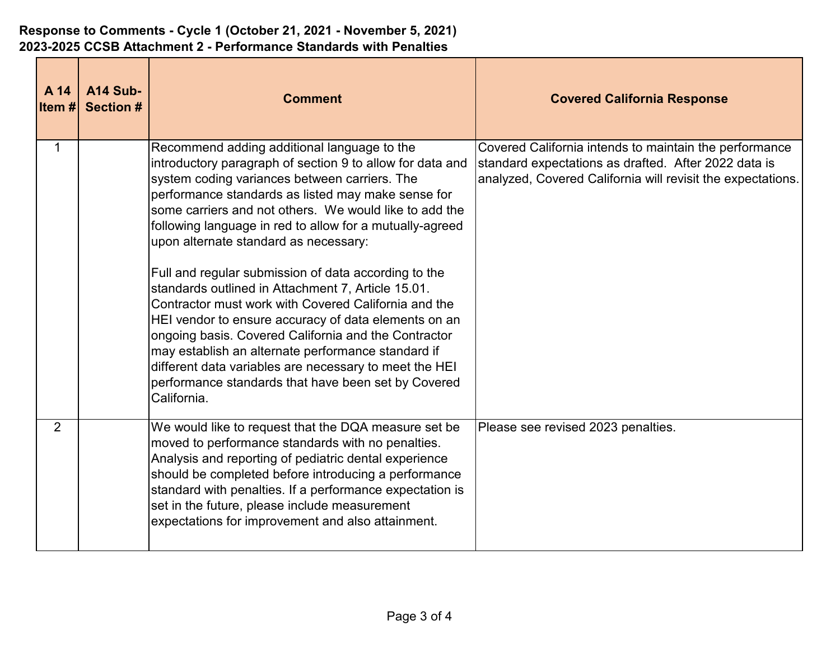| A 14<br>Item # | <b>A14 Sub-</b><br><b>Section #</b> | <b>Comment</b>                                                                                                                                                                                                                                                                                                                                                                                                                                                           | <b>Covered California Response</b>                                                                                                                                            |
|----------------|-------------------------------------|--------------------------------------------------------------------------------------------------------------------------------------------------------------------------------------------------------------------------------------------------------------------------------------------------------------------------------------------------------------------------------------------------------------------------------------------------------------------------|-------------------------------------------------------------------------------------------------------------------------------------------------------------------------------|
| $\mathbf{1}$   |                                     | Recommend adding additional language to the<br>introductory paragraph of section 9 to allow for data and<br>system coding variances between carriers. The<br>performance standards as listed may make sense for<br>some carriers and not others. We would like to add the<br>following language in red to allow for a mutually-agreed<br>upon alternate standard as necessary:                                                                                           | Covered California intends to maintain the performance<br>standard expectations as drafted. After 2022 data is<br>analyzed, Covered California will revisit the expectations. |
|                |                                     | Full and regular submission of data according to the<br>standards outlined in Attachment 7, Article 15.01.<br>Contractor must work with Covered California and the<br>HEI vendor to ensure accuracy of data elements on an<br>ongoing basis. Covered California and the Contractor<br>may establish an alternate performance standard if<br>different data variables are necessary to meet the HEI<br>performance standards that have been set by Covered<br>California. |                                                                                                                                                                               |
| 2              |                                     | We would like to request that the DQA measure set be<br>moved to performance standards with no penalties.<br>Analysis and reporting of pediatric dental experience<br>should be completed before introducing a performance<br>standard with penalties. If a performance expectation is<br>set in the future, please include measurement<br>expectations for improvement and also attainment.                                                                             | Please see revised 2023 penalties.                                                                                                                                            |